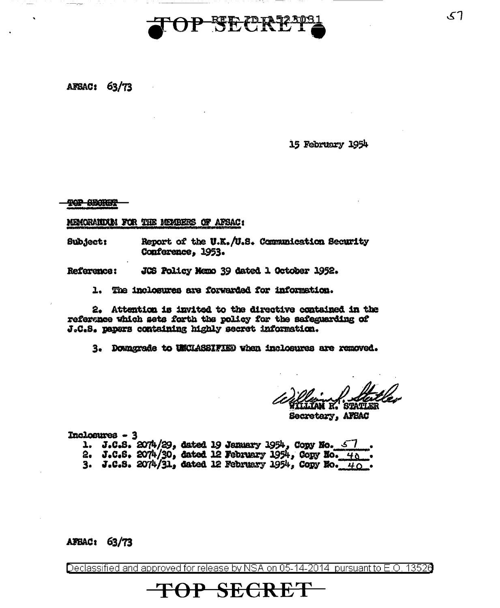

**AFSAC: 63/73** 

15 February 1954

**TOP SECRET** 

MEMORANDUM FOR THE MEMBERS OF AFSAC:

Report of the U.K. /U.S. Communication Security **Subject:** Conference. 1953.

JCS Policy Memo 39 dated 1 October 1952. Reference:

1. The inclosures are forwarded for information.

2. Attention is invited to the directive contained in the reference which sets forth the policy for the safeguarding of J.C.S. papers containing highly secret information.

3. Doungrade to UNCHASSIFIED when inclosures are removed.

**STATLER** 

Secretery, AFSAC

Inclosures - 3 1. J.C.S.  $2074/29$ , dated 19 January 1954, Copy No.  $\leq 7$ 2. J.C.S. 2074/30, dated 12 February 1954, Copy No.  $40$ 3. J.C.S. 2074/31, dated 12 February 1954, Copy No.  $40$ .

AFBAC: 63/73

Declassified and approved for release by NSA on 05-14-2014 pursuant to E.O. 13526

<del>TOP SECRET</del>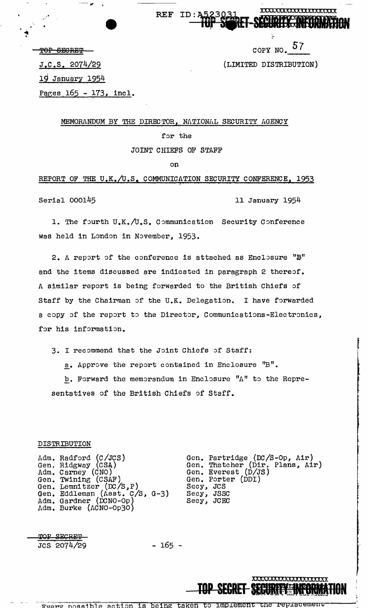XXXXXXXXXXXXXXXXXXXX

COPY NO. *57* 

(LIMITED DISTRIBUTION)

TOP SECRET

.. .

J,C.S, 2074/29

19 January 1954

Pages 165 - 173, incl.

 $-$ 

MEMORANDUM BY THE DIRECTOR, NATIONAL SECURITY AGENCY

REF ID:A

for the

JOINT CHIEFS OF STAFF

on

REPORT OF THE  $U_xK_y/U_sS_z$  communication security conference, 1953

Serial 000145 11 January 1954

**XXXXXXXXXXXXXXXX** 

**TOP SECOLET SECONDITY SAME** 

f

1. The fourth U.K./U.S. Communication Security Conference was held in London in November, 1953.

2. A report of the conference is attached as Enclosure  $"B"$ and the items discussed are indicated in paragraph 2 thereof. <sup>A</sup>similar report is being forwarded to the British Chiefs of Staff by the Chairman of the U.K. Delegation. I have forwarded a copy of the report to the Director, Communications-Electronics, for his information.

3. I recommend that the Joint Chiefs of Staff:

a. Approve the report contained in Enclosure "B".

b. Forward the memorandum in Enclosure "A" to the Representatives of the British Chiefs of Staff.

#### DISTRIBUTION

Adm. Gen. Adm. Gen. Gen. Gen. Adm. Adm. Burke (ACNO-Op30) Radford (C/JCS) Ridgway (CSA) Carney (CNO) Twining (CSAF) Lemnitzer (DC /S, P) Eddleman (Asst. C/S, Gardner (DCNO-Op)<br>Burke (ACNO-Op3O) G-3) Gen. Partridge (DC/S-Op, Air) Gen. Thatcher (Dir. Plans, Air) Gen. Everest (D/JS) Gen. Porter (DDI) Secy, JCS Secy, JSSC Secy, JCEC

TOP SECRET JCS ·2074/29

- 165 -

Freny possible action is being taken to implement the replacement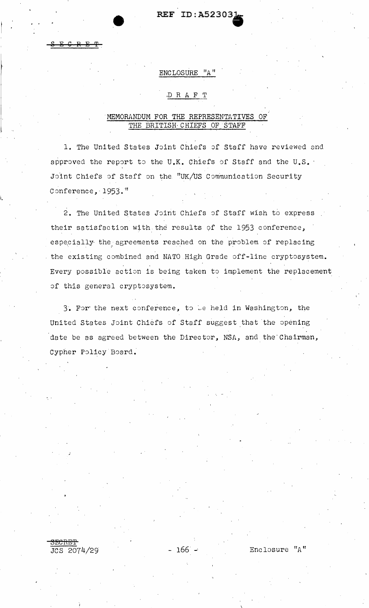# REF ID: A52303)

# ENCLOSURE "A"

#### DRAFT

# MEMORANDUM FOR THE REPRESENTATIVES OF THE BRITISH CHIEFS OF STAFF

1. The United States Joint Chiefs of Staff have reviewed and approved the report to the U.K. Chiefs of Staff and the U.S. Joint Chiefs of Staff on the "UK/US Communication Security Conference, 1953."

2. The United States Joint Chiefs of Staff wish to express their satisfaction with the results of the 1953 conference, especially the agreements reached on the problem of replacing the existing combined and NATO High Grade off-line cryptosystem. Every possible action is being taken to implement the replacement of this general cryptosystem.

3. For the next conference, to be held in Washington, the United States Joint Chiefs of Staff suggest that the opening date be as agreed between the Director, NSA, and the Chairman, Cypher Policy Board.

- 166 -

 $2074/29$ 

Enclosure "A"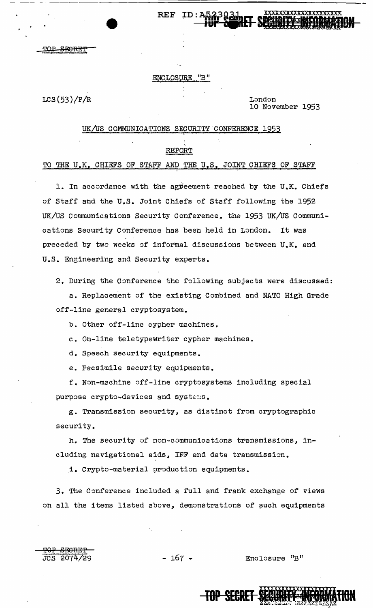# **REF**

#### **ENCLOSURE**  $^{\prime\prime}\text{B}$   $^{\prime\prime}$

 $LCS(53)/P/R$ 

JCS 2074/29

London 10 November 1953

#### UK/US COMMUNICATIONS SECURITY CONFERENCE 1953

#### REPORT

#### TO THE U.K. CHIEFS OF STAFF AND THE U.S. JOINT CHIEFS OF STAFF

1. In accordance with the agreement reached by the U.K. Chiefs of Staff and the U.S. Joint Chiefs of Staff following the 1952 UK/US Communications Security Conference, the 1953 UK/US Communications Security Conference has been held in London. It was preceded by two weeks of informal discussions between U.K. and U.S. Engineering and Security experts.

2. During the Conference the following subjects were discussed:

a. Replacement of the existing Combined and NATO High Grade off-line general cryptosystem.

b. Other off-line cypher machines.

c. On-line teletypewriter cypher machines.

d. Speech security equipments.

e. Facsimile security equipments.

f. Non-machine off-line cryptosystems including special purpose crypto-devices and systems.

g. Transmission security, as distinct from cryptographic security.

h. The security of non-communications transmissions, including navigational aids, IFF and data transmission.

i. Crypto-material production equipments.

3. The Conference included a full and frank exchange of views on all the items listed above, demonstrations of such equipments

 $-167 -$ 

Enclosure "B"

**TOP SECRET**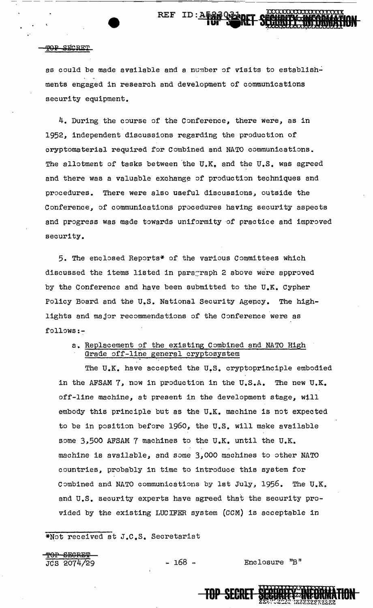# REF ID: A5

#### **TOP SECRET**

as could be made available and a number of visits to establishments engaged in research and development of communications security equipment.

4. During the course of the Conference, there were, as in 1952, independent discussions regarding the production of cryptomaterial required for Combined and NATO communications. The allotment of tasks between the U.K. and the U.S. was agreed and there was a valuable exchange of production techniques and procedures. There were also useful discussions, outside the Conference, of communications procedures having security aspects and progress was made towards uniformity of practice and improved security.

5. The enclosed Reports\* of the various Committees which discussed the items listed in paragraph 2 above were approved by the Conference and have been submitted to the  $U_{\bullet}K_{\bullet}$  Cypher Policy Board and the U.S. National Security Agepcy. The highlights and major recommendations of the Conference were as follows:-

a. Replacement of the existing Combined and NATO High Grade off-line general cryptosystem

The  $U_{\bullet}K_{\bullet}$  have accepted the  $U_{\bullet}S_{\bullet}$  cryptoprinciple embodied in the AFSAM 7, now in production in the U.S.A. The new U.K. off-line machine, at present in the development stage, will embody this principle but as the U.K. machine is not expected to be in position before 1960, the U.S. will make available some 3,500 AFSAM 7 machines to the U.K. until the U.K. machine is available, and some 3,000 machines to other NATO countries, probably in time to introduce this system for Combined and NATO communications by 1st July, 1956. The U.K. and U.S. security experts have agreed that the security provided by the existing LUCIFER system (CCM) is acceptable in

\*Not received at J.C.S. Secretariat

<del>TOP SEGRET</del><br>JCS 2074/29

HP SECRET ~TION z,,,\_==•ZZ *·r-1,.rr1{'"''"·rrz* I":

- 168 - Enclosure "B"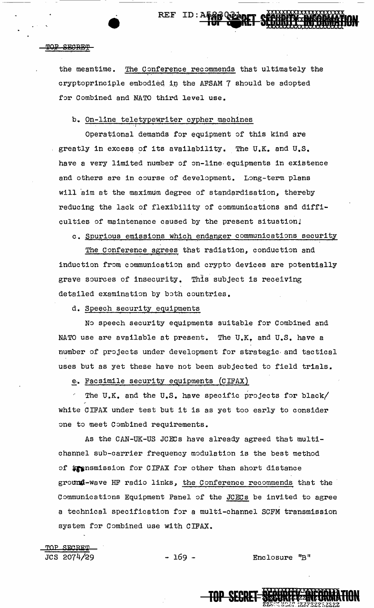#### TOP SECRET

the meantime. The Conference recommends that ultimately the cryptoprinciple embodied in the AFSAM 7 should be adopted for Combined and NATO third level use.

REF ID: AFAB VEART

### b. On-line teletypewriter cypher machines

Operational demands for equipment of this kind are greatly in excess of its availability. The U.K. and U.S. have a very limited number of on-line· equipments in existence and others are in course of development. Long-term plans will aim at the maximum degree of standardisation, thereby reducing the lack of flexibility of communications and difficulties of maintenance caused by the present situation!

c. Spurious emissions which endanger communications security

The Conference agrees that radiation, conduction and induction from communication and crypto devices are potentially grave sources of insecurity. This subject is receiving detailed examination by both countries.

d. Speech security equipments

No speech security equipments suitable for Combined and NATO use are available at present. The U.K~ and u.s. *have* <sup>a</sup> number of projects under development for strategic· and tactical uses but as yet these have not been subjected to field trials.

e. Facsimile security equipments  $(CIFAX)$ 

The U.K. and the U.S. have specific projects for black/ white CIFAX under test but it is as yet too early to consider one to meet Combined requirements.

As the CAN-UK-US JCECs have already agreed that multichannel sub-carrier frequency modulation is the best method of **\*\*** nsmission for CIFAX for other than short distance ground-wave HF radio links, the Conference recommends that the Communications Equipment Panel of the JCECs be invited to agree a technical specification for a multi-channel SCFM transmission system for Combined use with CIFAX.

TOP **SF,C:ai:'l'** 

 $JCS$  2074/29  $-169 -$  Enclosure "B"

**TOP SECRET-SECURE**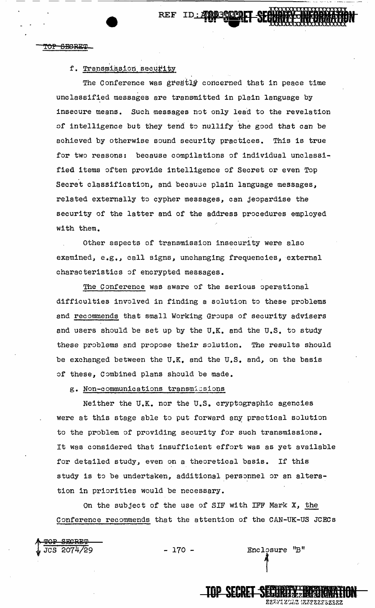TOP SEGRET

## f. Transmission security

The Conference was greatly concerned that in peace time unclassified messages are transmitted in plain language by insecure means. Such messages not only lead to the revelation .of intelligence but they tend to nullify the good that can be achieved by otherwise sound security practices. This is true for two reasons: because compilations of individual unclassified items often provide intelligence of Secret or even Top Secret classification, and because plain language messages, related externally to cypher messages, can jeopardise the security of the latter and of the address procedures employed with them.

Other aspects of transmission insecurity were also examined, e.g., call signs, unchanging frequencies, external characteristics of encrypted messages.

The Conference was aware of the serious operational difficulties involved in finding a solution to these problems and recommends that small Working Groups of security advisers and users should be set up by the  $U_{\bullet}K_{\bullet}$  and the  $U_{\bullet}S_{\bullet}$  to study these problems and propose their solution. The results should be exchanged between the  $U_xK_y$  and the  $U_xS_z$  and, on the basis of these, Combined plans should be made.

g. Non-communications transmissions

Neither the U.K. nor the U.S. cryptographic agencies were at this stage able to put forward any practical solution to the problem of providing security for such transmissions. It was considered that insufficient effort was as yet available for detailed study, even on a theoretical basis. If this study is to be undertaken, additional personnel or an alteration in priorities would be necessary.

On the subject of the use of SIF with IFF Mark X, the Conference recommends that the attention of the CAN-UK-US JCECs

<del>TOP SECRET</del><br>JCS 2074/29

 $- 170 -$  Enclosure "B"

**TOP SECRET SECURITY TERRATOR** 

zzz*zza* 1222zzzzzz

REF ID: AND 30 TO THE SECOND MORMAND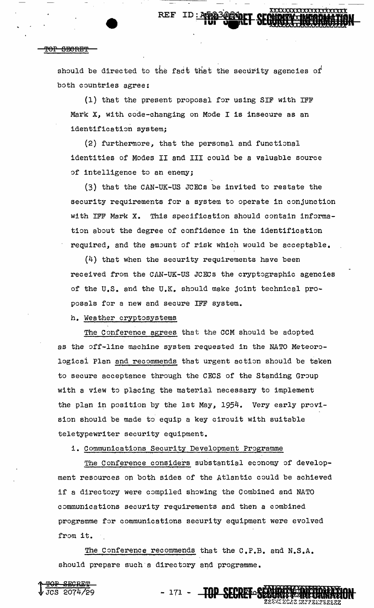REF

#### 'f'OP SHOREl'i'

t TOP SECRET

JCS 2074/29

should be directed to the fact that the security agencies of both countries agree:

(1) that the present proposal for using SIF with IFF Mark X, with code-changing on Mode I is insecure as an identification system;

(2) furthermore, that the personal and functional identities of Modes II and III could be a valuable source of intelligence to an enemy;

(3) that the CAN-UK-US JCECs be invited to restate the security requirements for a system to operate in conjunction with IFF Mark x. This specification should contain information about the degree of confidence in the identification required, and the amount of risk which would be acceptable.

(4) that when the security requirements have been received from the CAN-UK-US JCECs the cryptographic agencies of the U.S. and the U.K. should make joint technical proposals for a new and secure IFF system.

h. Weather cryptosystems

The Conference agrees that the CCM should be adopted as the off-line machine system requested in the NATO Meteorologicai Plan and recommends that urgent action should be taken to secure acceptance through the CECS of the Standing Group with a view to placing the material necessary to implement the plan in position by the 1st May, 1954. Very early provision should be made to equip a key circuit with suitable teletypewriter security equipment.

i. Communications Security Development Programme

The Conference considers substantial economy of development resources on both sides of the Atlantic could be achieved if a directory were compiled showing the Combined and NATO communications security requirements and then a combined programme for communications security equipment were evolved from it.

The Conference recommends that the C.P.B. and N.S.A. should prepare such a directory and programme.

- 171 - TOP SECRET 32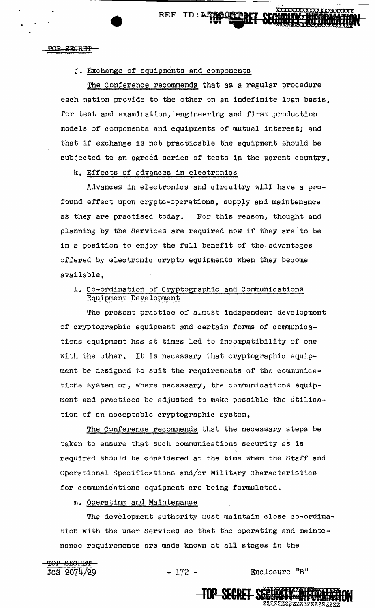**TAP OSTARE PERIMERENT CONSTRUCTION CONSTRUCTS** 

<u>xxxxxxxxxxxxxxxxxxx</u>

#### <u> ተዕድ</u> **SEGRET**

#### j. Exchange of equipments and components

The Conference recommends that as a regular procedure each nation provide to the other on an indefinite loan basis, for test and examination, engineering and first production models of components and equipments of mutual interest; and that if exchange is not practicable the equipment should be subjected to an agreed series of tests in the parent country.

k. Effects of advances in electronics

Advances in electronics and circuitry will have a profound effect upon crypto-operations, supply and maintenance as they are practised today. For this reason, thought and planning by the Services are required now if they are to be in a position to enjoy the full benefit of the advantages offered by electronic crypto equipments when they become available,

# 1. Co-ordination of Cryptographic and Communications Equipment Development

The present practice of almost independent development of cryptographic equipment and certain forms of communications equipment has at times led to incompatibility of one with the other. It is necessary that cryptographic equipment be designed to suit the requirements of the communications system or, where necessary, the communications equipment and practices be adjusted to make possible the utilisation of an acceptable cryptographic system.

The Conference recommends that the necessary steps be taken to ensure that such communications security as is required should be considered at the time when the Staff and Operational Specifications and/or Military Characteristics for communications equipment are being formulated.

m. Operating and Maintenance

The development authority must maintain close co-ordination with the user Services so that the operating and maintenance requirements are made known at all stages in the



JCS 2074/29 - 172 - Enclosure "B"

dzu: rumi olnicialzaczalz

**TOP SECRET SWWW**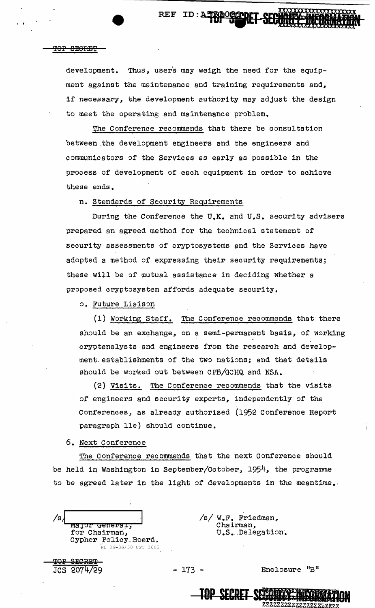#### TOP SECRET

development. Thus, users may weigh the need for the equipment against the maintenance and training requirements and, if necessary, the development authority may adjust the design to meet the operating and maintenance problem.

REF ID:A52000COOLET SECURITY MEDICINE

The Conference recommends that there be consultation between the development engineers and the engineers and communicators of the Services as early as possible in the process of development of each equipment in order to achieve these ends.

n. Standards of Security Requirements

During the Conference the U.K. and U.S. security advisers prepared an agreed method for the technical statement of security assessments of cryptosystems and the Services have adopted a method of expressing their security requirements; these will be of mutual assistance in deciding whether a proposed cryptosystem affords adequate security.

o. Future Liaison

(1) working Staff. The Conference recommends that there should be an exchange, on a semi-permanent basis, of working cryptanalysts and engineers from the research and development establishments of the two nations; and that details should be worked out between CPB/GCHQ and NSA.

(2) Visits. The Conference recommends that the visits of engineers and security experts, independently of the Conferences, as already authorised (1952 Conference Report paragraph lle) should continue.

6. Next Conference

The Conference recommends that the next Conference should be held in Washington in September/October, 1954, the programme to be agreed later in the light of developments in the meantime.

/s. wajor <del>denerai,</del> for Chairman, Cypher folicy\_Board. PL 86-36/50 USC 3605

<del>707 SECRET </del> JCS 2074729 /s/ W.F. Friedman, Chairman, U.S. Delegation.

 $- 173 -$  Enclosure "B" Enclosure "B"<br>**JOP SECRET SECRET SECRET SECRET SECRET**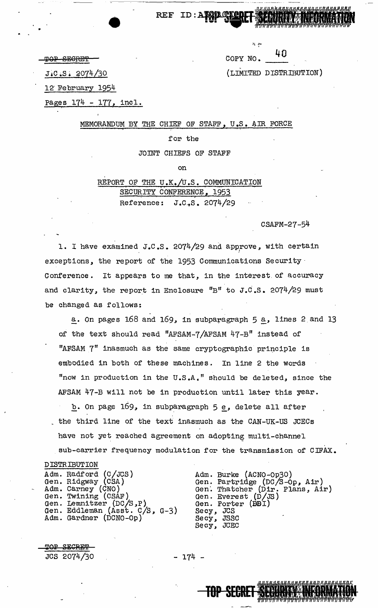|          | . |    |
|----------|---|----|
| COPY NO. |   | 40 |
|          |   |    |

·~~~--- ···-··---··--·-'---··

**TOP SEGRET** 

(LIMITED DISTRIBUTION)

JiC .s • q074/30

12-February 1954

Pages 174 - 177, incl.

MEMORANDUM BY THE CHIEF OF STAFF, U.S. AIR FORCE

REF ID: ATABATE

#### for the

JOINT CHIEFS OF STAFF

on

REPORT OF THE U.K./U.S. COMMUNICATION SECURITY CONFERENCE, 1953 Reference: J .c.,s. 2074/29

CSAFM-27-54

1. I have examined J.C.S. 2074/29 and approve, with certain exceptions, the report of the 1953 Communications Security· Conference. It appears to me that, in the interest of accuracy and clarity, the report in Enclosure  $"B"$  to J.C.S. 2074/29 must be changed as fo1lows:

a. On pages 168 and 169, in subparagraph 5 a, lines 2 and 13 of the text should read "AFSAM-7 /AFSAM 47-B" instead of "AFSAM 7" inasmuch as the same cryptographic principle is embodied in both of these machines. In line 2 the words "now in production in the  $U.S.A.$ " should be deleted, since the AFSAM 47-B will not be in production until later this year.

b. On page  $169$ , in subparagraph  $5 e$ , delete all after the third line of the text inasmuch as the CAN-UK-US JCECs have not yet reached agreement on adopting multi-channel sub-carrier frequency modulation for the transmission of CIFAX.

DISTRIBUTION Adm. Radford (C/JCS) Gen. Ridgway (CSA) Adm. Carney (CNO) Gen. Twining (CSAF)<br>Gen. Lemnitzer (DC/S,P) Gen. Eddleman (Asst. *c/s,* G-3) Adm. Gardner (DCNO-Op)

Adm. Burke (ACNO-Op30) Gen. Partridge (DC/S-Op, Air) Gen. Thatcher (Dir. Plans, Air) Gen. Everest (D/JS)<br>Gen. Porter (BBI)<br>Secy, JCS Secy, JCS<br>Secy, JSSC Secy, JCEC

TOP SECRET **SECONDAY INFORMA** 

> *7*  I I **HON<br>HON** 

 $\underline{\texttt{map}}$ JCS 2074/30 - 174 -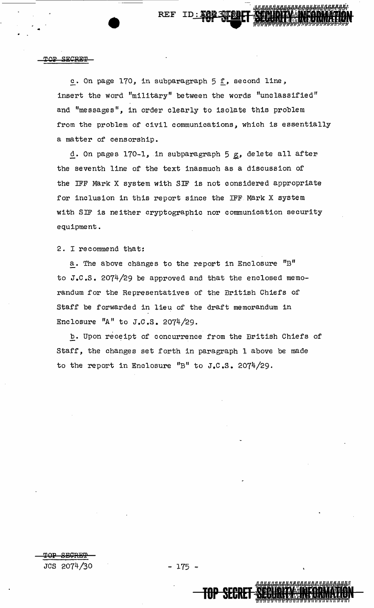#### **SFCRET**

..

------------------------

**REF** 

c. On page 170, in subparagraph 5 f, second line, insert the word "military" between the words "unclassified" and "messages", in order clearly to isolate this problem from the problem of civil communications, which is essentially a matter of censorship.

d. On pages  $170-1$ , in subparagraph  $5g$ , delete all after the seventh line of the text inasmuch as a discussion of the IFF Mark X system with SIF is not considered appropriate for inclusion in this report since the IFF Mark X system with SIF is neither cryptographic nor communication security equipment.

2. I recommend that:

a. The above changes to the report in Enclosure "B" to J.c.s. 2074/29 be approved and that the enclosed memorandum for the Representatives of the British Chiefs of Staff be forwarded in lieu of the draft memorandum in Enclosure "A" to  $J.C.S. 2074/29.$ 

b. Upon receipt of concurrence from the British Chiefs of Staff, the changes set forth in paragraph 1 above be made to the report in Enclosure "B" to  $J_xC_xS_x$ . 2074/29.

**@OP 8BCRS'3?**  JCS 2074/30 - 175 -

**JOP SEGRET**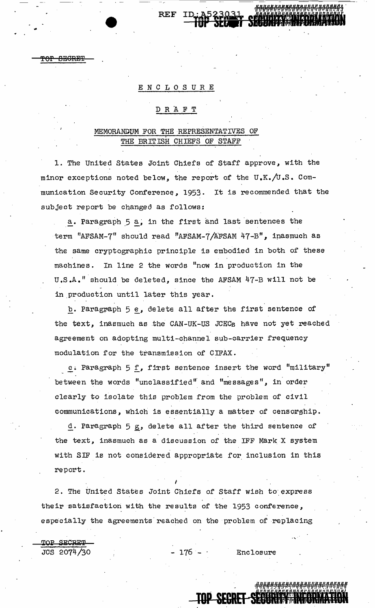## ENCLOSURE

REF

#### D R 'A .F T

# MEMORANDUM FOR THE REPRESENTATIVES OF THE BRITISH CHIEFS OF STAFF

1. The United States Joint Chiefs of Staff approve, with the minor exceptions noted below, the report of the  $U,K./U.S.$  Communication Security Conference, 1953. It is recommended that the subject report be changed as follows:

 $\underline{a}$ . Paragraph  $5$   $\underline{a}$ , in the first and last sentences the term 11AFSAM-7" should read "AFSAM-7 /AFSAM 47-B", ipasmuch as the same cryptographic principle is embodied in both of these machines. In line 2 the words "now in production in the <sup>U</sup>.s .A. 11 should be deleted, since the AFSAM 47-B will not be in production until later this year.

b. Paragraph 5 e, delete all after the first sentence of the text, inasmuch as the CAN-UK-US JCECs have not yet reached agreement on adopting multi-channel sub-carrier frequency modulation for the transmission of CIFAX.

c. Paragraph 5 f, first sentence insert the word "military" between the words "unclassified" and "messages", in order clearly to isolate this problem from the problem of civil communications, which is essentially a matter of censorghip.

d. Paragraph 5 g, delete all after the third sentence of the text, inasmuch as a discussion of the IFF Mark X system with SIF is not considered appropriate for inclusion in this report.

2. The United States Joint Chiefs of Staff wish to express their satisfaction with the results of the 1953 conference, especially the agreements reached on the problem of replacing

**TOP SECRET-SECURE** 

I

 $\overline{\text{TOP}}$  SECRET JCS 2074/30 - 176 - Enclosure

..

 $\frac{8}{10}$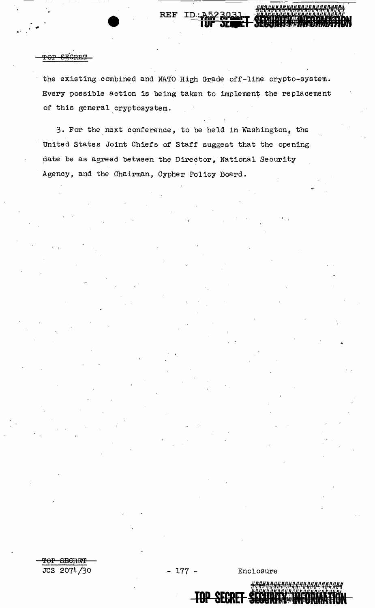#### <u>gricorn</u>

the existing combined and NATO High Grade off-line crypto-system. Every possible action is being taken to implement the replacement of this general cryptosystem.

ID.

**REF** 

3. For the next conference, to be held in Washington, the United States Joint Chiefs of Staff suggest that the opening date be as agreed between the Director, National Security Agency, and the Chairman, Cypher Policy Board.

<del>TOP SECRET</del> JCS 2074/30

Enclosure

**TOP SECRET SECURE**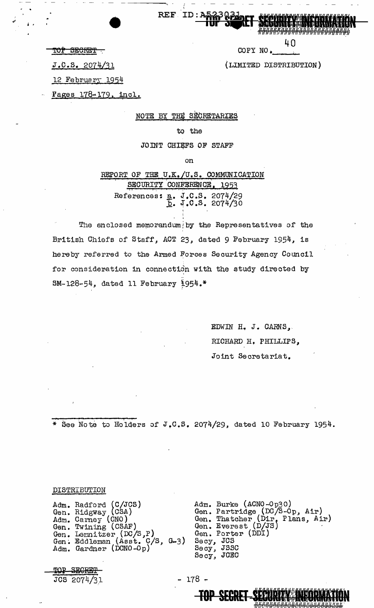40

COPY NO.

(LIMITED DISTRIBUTION)

TOP SECRET

 $J.C.S. 2074/31$ 

12 February 1954

Pages 178-179, incl.

NOTE BY THE SECRETARIES

REF ID:A

#### to the

JOINT CHIEFS OF STAFF

on

REPORT OF THE U.K./U.S. COMMUNICATION SECURITY CONFERENCE. 1953 References: a. J.C.S. 2074/29<br>D. J.C.S. 2074/30

The enclosed memorandum by the Representatives of the British Chiefs of Staff, ACT 23, dated 9 February 1954, is hereby referred to the Armed Forces Security Agency Council for consideration in connection with the study directed by  $SM-128-54$ , dated 11 February 1954.\*

> EDWIN H. J. CARNS, RICHARD H. PHILLIPS, Joint Secretariat.

\* See Note to Holders of J.C.S. 2074/29, dated 10 February 1954.

### DISTRIBUTION

<del>SECRET</del> JCS 2074/31

**TOP** 

Adm. Radford (C/JCS)<br>Gen. Ridgway (CSA)<br>Adm. Carney (CNO)<br>Gen. Twining (CSAF)<br>Gen. Lennitzer (DC/S,P)<br>Gen. Eddleman (Asst. C/S, G-3)<br>Adm. Gardner (DCNO-Op)

Adm. Burke (ACNO-Op30)<br>Gen. Partridge (DC/S-Op, Air)<br>Gen. Thatcher (Dir. Plans, Air)<br>Gen. Everest (D/JS)<br>Gen. Porter (DDI) Secy, JCS<br>Secy, JSSC<br>Secy, JCEC

**TOP SECRET SECURITY INFORMAT** 

 $-178$  -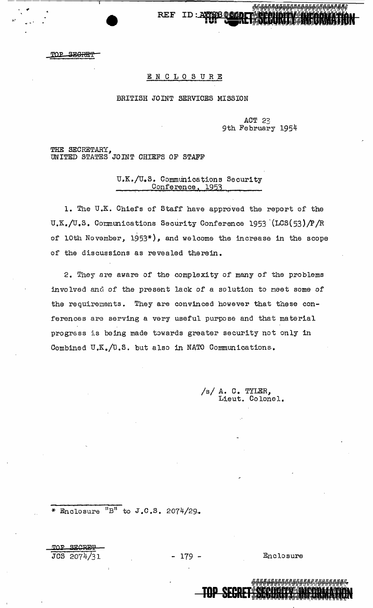TOP SEGRET

## ENCLOSURE

TD.

**REF** 

#### BRITISH JOINT SERVICES MISSION

ACT 23 9th February 1954

1<del>114111111</del>

THE SECRETARY,<br>UNITED STATES JOINT CHIEFS OF STAFF

U.K./U.S. Communications Security Conference, 1953

1. The U.K. Chiefs of Staff have approved the report of the U.K./U.S. Communications Security Conference 1953 (LCS(53)/P/R of 10th November, 1953\*), and welcome the increase in the scope of the discussions as revealed therein.

2. They are aware of the complexity of many of the problems involved and of the present lack of a solution to meet some of the requirements. They are convinced however that these conferences are serving a very useful purpose and that material progress is being made towards greater security not only in Combined U.K./U.S. but also in NATO Communications.

> $/s/$  A. C. TYLER, Lieut. Colonel.

\* Enclosure  ${}^{11}B^{11}$  to J.C.S. 2074/29.

<u>ጥ ገ ዋ</u> **SECRE!** JCS 2074/31

 $-179-$ 

<del>TOP SEC</del>

Enclosure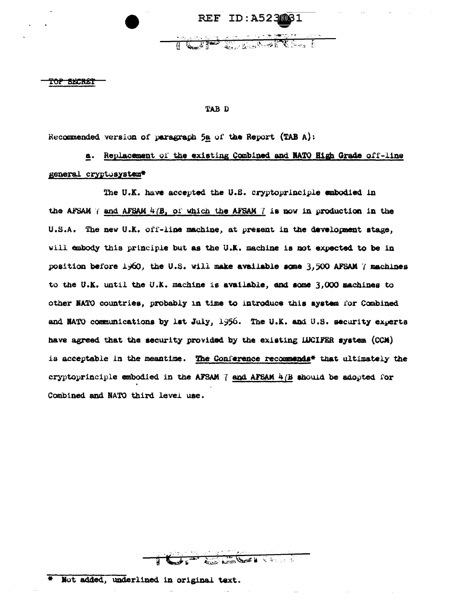REF ID: A5230031

TE DIE STATISTICATION

<del>TOP SHCREI</del>

#### TAB D

Recommended version of paragraph 5a of the Report (TAB A):

a. Replacement of the existing Combined and NATO High Grade off-line general cryptosystem\*

The U.K. have accepted the U.S. cryptoprinciple embodied in the AFSAM  $\ell$  and AFSAM  $4\ell$ B, of which the AFSAM  $7$  is now in production in the U.S.A. The new U.K. off-line machine, at present in the development stage, will embody this principle but as the U.K. machine is not expected to be in position before 1960, the U.S. will make available some 3,500 AFSAM 7 machines to the U.K. until the U.K. machine is available, and some 3,000 machines to other NATO countries, probably in time to introduce this system for Combined and NATO communications by lst July, 1956. The U.K. and U.S. security experts have agreed that the security provided by the existing IDCIFER system (CCM) is acceptable in the meantime. The Conference recommends<sup>#</sup> that ultimately the cryptoprinciple embodied in the AFSAM 7 and AFSAM 4(B should be adopted for Combined and NATO third level use.

 $\frac{1}{2}$ 

\* Not added, underlined in original text.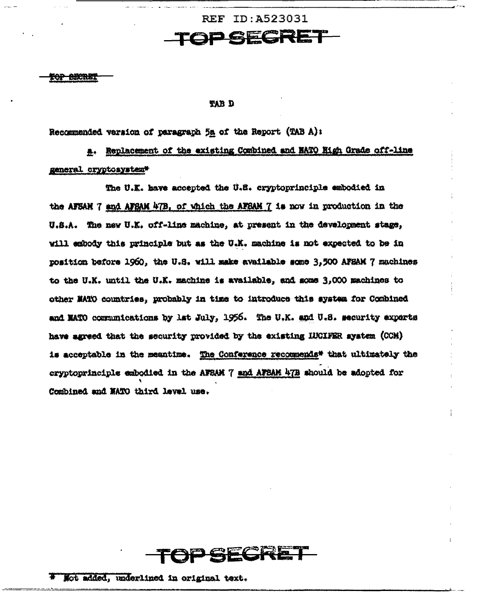**REF ID: A523031 GECRE** 

<del>TOP BECRET</del>

#### **TAB D**

Recommended varsion of paragraph 5a of the Report (TAB A):

a. Replacement of the existing Combined and NATO Nigh Grade off-line general cryptosystem\*

The U.K. have accepted the U.S. cryptoprinciple embodied in the AFSAN 7 and AFSAM 47B, of which the AFSAM 7 is now in production in the U.S.A. The new U.K. off-line machine, at present in the development stage, will embody this principle but as the U.K. machine is not expected to be in position before 1960, the U.S. will make available some 3,500 AFSAM 7 machines to the U.K. until the U.K. machine is available, and some 3,000 machines to other NATO countries, probably in time to introduce this system for Combined and MATO communications by lat July, 1956. The U.K. and U.S. security experts have agreed that the security provided by the existing IUCIFER system (CCM) is acceptable in the meantime. The Conference recommends\* that ultimately the cryptoprinciple embodied in the AFSAM 7 and AFSAM 47B should be adopted for Combined and NATO third level use.



Not added, underlined in original text.